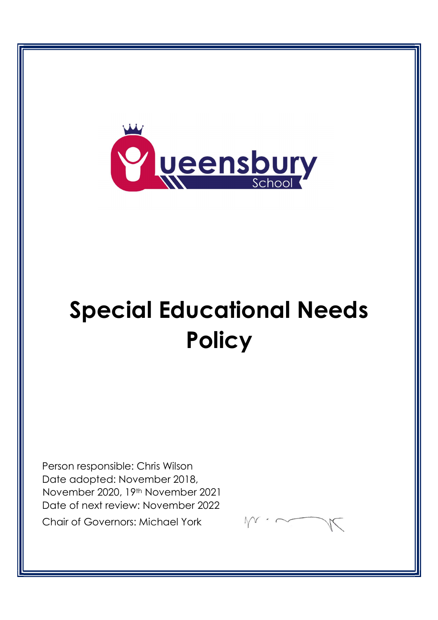

# Special Educational Needs **Policy**

Person responsible: Chris Wilson Date adopted: November 2018, November 2020, 19th November 2021 Date of next review: November 2022 Chair of Governors: Michael York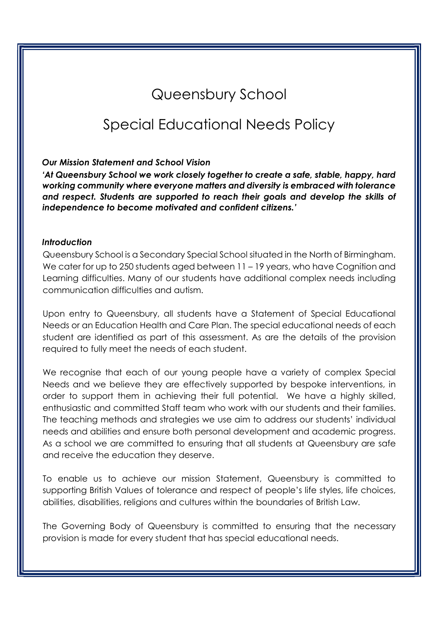# Queensbury School

# Special Educational Needs Policy

#### Our Mission Statement and School Vision

'At Queensbury School we work closely together to create a safe, stable, happy, hard working community where everyone matters and diversity is embraced with tolerance and respect. Students are supported to reach their goals and develop the skills of independence to become motivated and confident citizens.'

#### Introduction

Queensbury School is a Secondary Special School situated in the North of Birmingham. We cater for up to 250 students aged between 11 – 19 years, who have Cognition and Learning difficulties. Many of our students have additional complex needs including communication difficulties and autism.

Upon entry to Queensbury, all students have a Statement of Special Educational Needs or an Education Health and Care Plan. The special educational needs of each student are identified as part of this assessment. As are the details of the provision required to fully meet the needs of each student.

We recognise that each of our young people have a variety of complex Special Needs and we believe they are effectively supported by bespoke interventions, in order to support them in achieving their full potential. We have a highly skilled, enthusiastic and committed Staff team who work with our students and their families. The teaching methods and strategies we use aim to address our students' individual needs and abilities and ensure both personal development and academic progress. As a school we are committed to ensuring that all students at Queensbury are safe and receive the education they deserve.

To enable us to achieve our mission Statement, Queensbury is committed to supporting British Values of tolerance and respect of people's life styles, life choices, abilities, disabilities, religions and cultures within the boundaries of British Law.

The Governing Body of Queensbury is committed to ensuring that the necessary provision is made for every student that has special educational needs.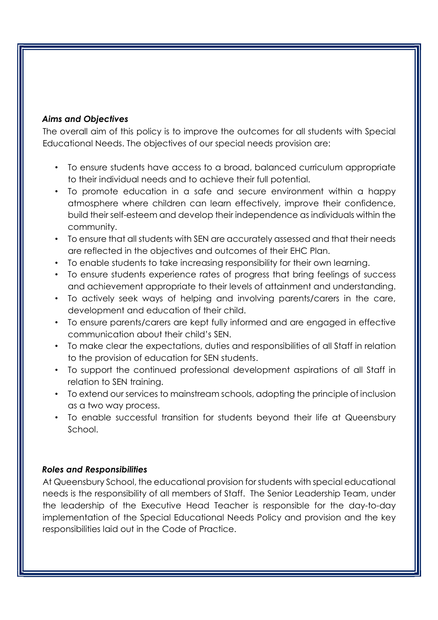# Aims and Objectives

The overall aim of this policy is to improve the outcomes for all students with Special Educational Needs. The objectives of our special needs provision are:

- To ensure students have access to a broad, balanced curriculum appropriate to their individual needs and to achieve their full potential.
- To promote education in a safe and secure environment within a happy atmosphere where children can learn effectively, improve their confidence, build their self-esteem and develop their independence as individuals within the community.
- To ensure that all students with SEN are accurately assessed and that their needs are reflected in the objectives and outcomes of their EHC Plan.
- To enable students to take increasing responsibility for their own learning.
- To ensure students experience rates of progress that bring feelings of success and achievement appropriate to their levels of attainment and understanding.
- To actively seek ways of helping and involving parents/carers in the care, development and education of their child.
- To ensure parents/carers are kept fully informed and are engaged in effective communication about their child's SEN.
- To make clear the expectations, duties and responsibilities of all Staff in relation to the provision of education for SEN students.
- To support the continued professional development aspirations of all Staff in relation to SEN training.
- To extend our services to mainstream schools, adopting the principle of inclusion as a two way process.
- To enable successful transition for students beyond their life at Queensbury School.

# Roles and Responsibilities

At Queensbury School, the educational provision for students with special educational needs is the responsibility of all members of Staff. The Senior Leadership Team, under the leadership of the Executive Head Teacher is responsible for the day-to-day implementation of the Special Educational Needs Policy and provision and the key responsibilities laid out in the Code of Practice.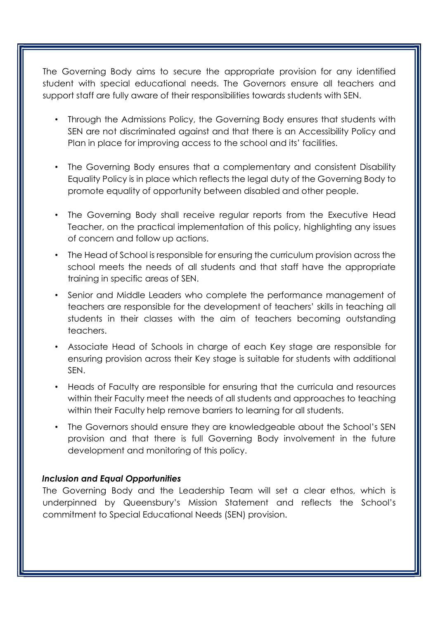The Governing Body aims to secure the appropriate provision for any identified student with special educational needs. The Governors ensure all teachers and support staff are fully aware of their responsibilities towards students with SEN.

- Through the Admissions Policy, the Governing Body ensures that students with SEN are not discriminated against and that there is an Accessibility Policy and Plan in place for improving access to the school and its' facilities.
- The Governing Body ensures that a complementary and consistent Disability Equality Policy is in place which reflects the legal duty of the Governing Body to promote equality of opportunity between disabled and other people.
- The Governing Body shall receive regular reports from the Executive Head Teacher, on the practical implementation of this policy, highlighting any issues of concern and follow up actions.
- The Head of School is responsible for ensuring the curriculum provision across the school meets the needs of all students and that staff have the appropriate training in specific areas of SEN.
- Senior and Middle Leaders who complete the performance management of teachers are responsible for the development of teachers' skills in teaching all students in their classes with the aim of teachers becoming outstanding teachers.
- Associate Head of Schools in charge of each Key stage are responsible for ensuring provision across their Key stage is suitable for students with additional SEN.
- Heads of Faculty are responsible for ensuring that the curricula and resources within their Faculty meet the needs of all students and approaches to teaching within their Faculty help remove barriers to learning for all students.
- The Governors should ensure they are knowledgeable about the School's SEN provision and that there is full Governing Body involvement in the future development and monitoring of this policy.

# Inclusion and Equal Opportunities

The Governing Body and the Leadership Team will set a clear ethos, which is underpinned by Queensbury's Mission Statement and reflects the School's commitment to Special Educational Needs (SEN) provision.